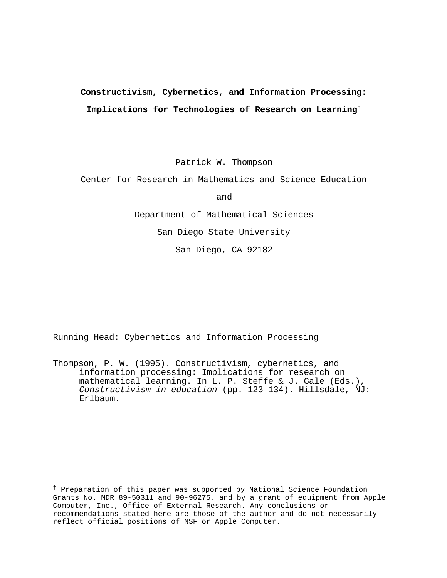# **Constructivism, Cybernetics, and Information Processing: Implications for Technologies of Research on Learning**†

Patrick W. Thompson

Center for Research in Mathematics and Science Education

and

Department of Mathematical Sciences San Diego State University

San Diego, CA 92182

Running Head: Cybernetics and Information Processing

i<br>H

Thompson, P. W. (1995). Constructivism, cybernetics, and information processing: Implications for research on mathematical learning. In L. P. Steffe & J. Gale (Eds.), *Constructivism in education* (pp. 123–134). Hillsdale, NJ: Erlbaum.

<sup>†</sup> Preparation of this paper was supported by National Science Foundation Grants No. MDR 89-50311 and 90-96275, and by a grant of equipment from Apple Computer, Inc., Office of External Research. Any conclusions or recommendations stated here are those of the author and do not necessarily reflect official positions of NSF or Apple Computer.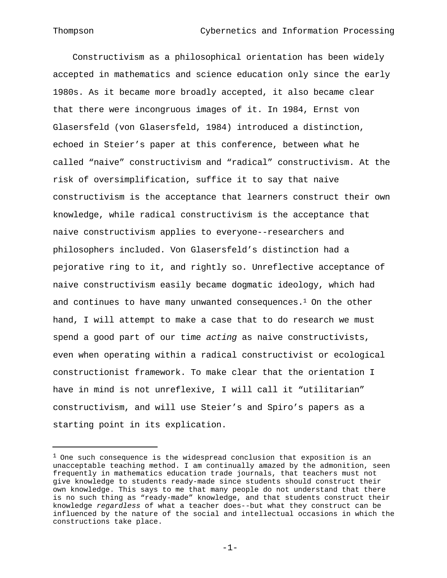Constructivism as a philosophical orientation has been widely accepted in mathematics and science education only since the early 1980s. As it became more broadly accepted, it also became clear that there were incongruous images of it. In 1984, Ernst von Glasersfeld (von Glasersfeld, 1984) introduced a distinction, echoed in Steier's paper at this conference, between what he called "naive" constructivism and "radical" constructivism. At the risk of oversimplification, suffice it to say that naive constructivism is the acceptance that learners construct their own knowledge, while radical constructivism is the acceptance that naive constructivism applies to everyone--researchers and philosophers included. Von Glasersfeld's distinction had a pejorative ring to it, and rightly so. Unreflective acceptance of naive constructivism easily became dogmatic ideology, which had and continues to have many unwanted consequences.<sup>1</sup> On the other hand, I will attempt to make a case that to do research we must spend a good part of our time *acting* as naive constructivists, even when operating within a radical constructivist or ecological constructionist framework. To make clear that the orientation I have in mind is not unreflexive, I will call it "utilitarian" constructivism, and will use Steier's and Spiro's papers as a starting point in its explication.

-1-

 $1$  One such consequence is the widespread conclusion that exposition is an unacceptable teaching method. I am continually amazed by the admonition, seen frequently in mathematics education trade journals, that teachers must not give knowledge to students ready-made since students should construct their own knowledge. This says to me that many people do not understand that there is no such thing as "ready-made" knowledge, and that students construct their knowledge *regardless* of what a teacher does--but what they construct can be influenced by the nature of the social and intellectual occasions in which the constructions take place.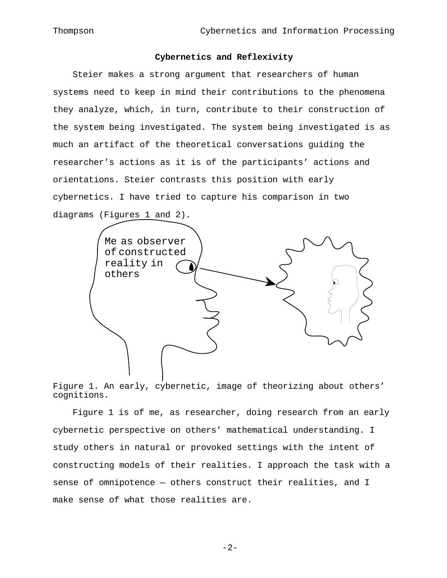# **Cybernetics and Reflexivity**

Steier makes a strong argument that researchers of human systems need to keep in mind their contributions to the phenomena they analyze, which, in turn, contribute to their construction of the system being investigated. The system being investigated is as much an artifact of the theoretical conversations guiding the researcher's actions as it is of the participants' actions and orientations. Steier contrasts this position with early cybernetics. I have tried to capture his comparison in two diagrams (Figures 1 and 2).



Figure 1. An early, cybernetic, image of theorizing about others' cognitions.

Figure 1 is of me, as researcher, doing research from an early cybernetic perspective on others' mathematical understanding. I study others in natural or provoked settings with the intent of constructing models of their realities. I approach the task with a sense of omnipotence — others construct their realities, and I make sense of what those realities are.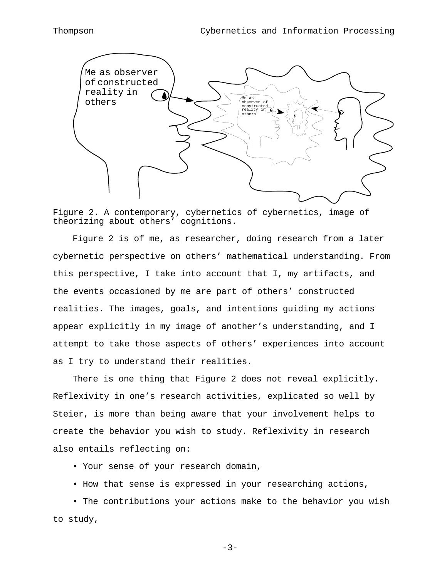

Figure 2. A contemporary, cybernetics of cybernetics, image of theorizing about others' cognitions.

Figure 2 is of me, as researcher, doing research from a later cybernetic perspective on others' mathematical understanding. From this perspective, I take into account that I, my artifacts, and the events occasioned by me are part of others' constructed realities. The images, goals, and intentions guiding my actions appear explicitly in my image of another's understanding, and I attempt to take those aspects of others' experiences into account as I try to understand their realities.

There is one thing that Figure 2 does not reveal explicitly. Reflexivity in one's research activities, explicated so well by Steier, is more than being aware that your involvement helps to create the behavior you wish to study. Reflexivity in research also entails reflecting on:

• Your sense of your research domain,

• How that sense is expressed in your researching actions,

• The contributions your actions make to the behavior you wish to study,

-3-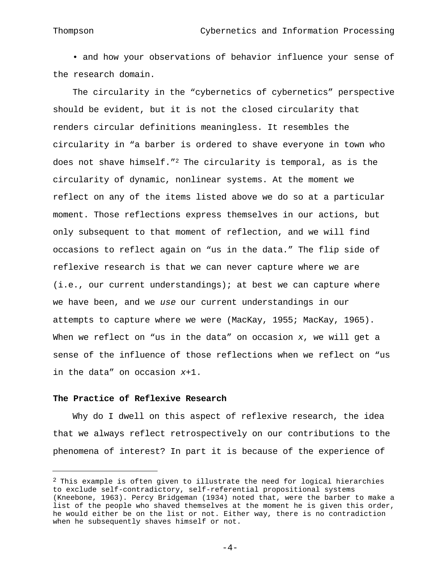• and how your observations of behavior influence your sense of the research domain.

The circularity in the "cybernetics of cybernetics" perspective should be evident, but it is not the closed circularity that renders circular definitions meaningless. It resembles the circularity in "a barber is ordered to shave everyone in town who does not shave himself."2 The circularity is temporal, as is the circularity of dynamic, nonlinear systems. At the moment we reflect on any of the items listed above we do so at a particular moment. Those reflections express themselves in our actions, but only subsequent to that moment of reflection, and we will find occasions to reflect again on "us in the data." The flip side of reflexive research is that we can never capture where we are  $(i.e., our current understanding)$ ; at best we can capture where we have been, and we *use* our current understandings in our attempts to capture where we were (MacKay, 1955; MacKay, 1965). When we reflect on "us in the data" on occasion *x*, we will get a sense of the influence of those reflections when we reflect on "us in the data" on occasion *x*+1.

# **The Practice of Reflexive Research**

i<br>H

Why do I dwell on this aspect of reflexive research, the idea that we always reflect retrospectively on our contributions to the phenomena of interest? In part it is because of the experience of

 $2$  This example is often given to illustrate the need for logical hierarchies to exclude self-contradictory, self-referential propositional systems (Kneebone, 1963). Percy Bridgeman (1934) noted that, were the barber to make a list of the people who shaved themselves at the moment he is given this order, he would either be on the list or not. Either way, there is no contradiction when he subsequently shaves himself or not.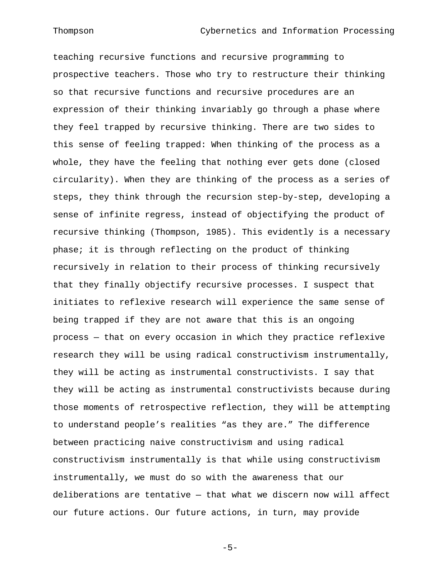teaching recursive functions and recursive programming to prospective teachers. Those who try to restructure their thinking so that recursive functions and recursive procedures are an expression of their thinking invariably go through a phase where they feel trapped by recursive thinking. There are two sides to this sense of feeling trapped: When thinking of the process as a whole, they have the feeling that nothing ever gets done (closed circularity). When they are thinking of the process as a series of steps, they think through the recursion step-by-step, developing a sense of infinite regress, instead of objectifying the product of recursive thinking (Thompson, 1985). This evidently is a necessary phase; it is through reflecting on the product of thinking recursively in relation to their process of thinking recursively that they finally objectify recursive processes. I suspect that initiates to reflexive research will experience the same sense of being trapped if they are not aware that this is an ongoing process — that on every occasion in which they practice reflexive research they will be using radical constructivism instrumentally, they will be acting as instrumental constructivists. I say that they will be acting as instrumental constructivists because during those moments of retrospective reflection, they will be attempting to understand people's realities "as they are." The difference between practicing naive constructivism and using radical constructivism instrumentally is that while using constructivism instrumentally, we must do so with the awareness that our deliberations are tentative — that what we discern now will affect our future actions. Our future actions, in turn, may provide

 $-5-$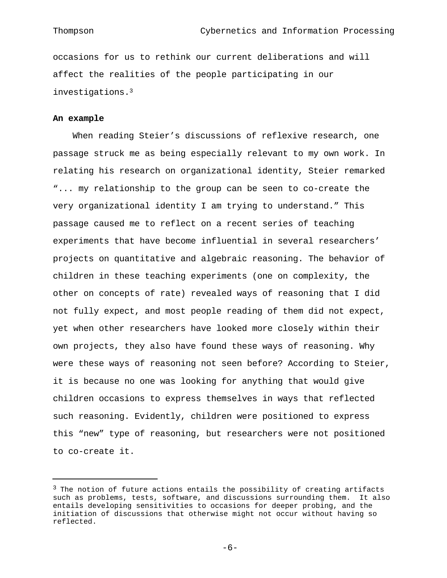occasions for us to rethink our current deliberations and will affect the realities of the people participating in our investigations.<sup>3</sup>

### **An example**

i<br>H

When reading Steier's discussions of reflexive research, one passage struck me as being especially relevant to my own work. In relating his research on organizational identity, Steier remarked "... my relationship to the group can be seen to co-create the very organizational identity I am trying to understand." This passage caused me to reflect on a recent series of teaching experiments that have become influential in several researchers' projects on quantitative and algebraic reasoning. The behavior of children in these teaching experiments (one on complexity, the other on concepts of rate) revealed ways of reasoning that I did not fully expect, and most people reading of them did not expect, yet when other researchers have looked more closely within their own projects, they also have found these ways of reasoning. Why were these ways of reasoning not seen before? According to Steier, it is because no one was looking for anything that would give children occasions to express themselves in ways that reflected such reasoning. Evidently, children were positioned to express this "new" type of reasoning, but researchers were not positioned to co-create it.

 $-6-$ 

 $3$  The notion of future actions entails the possibility of creating artifacts such as problems, tests, software, and discussions surrounding them. It also entails developing sensitivities to occasions for deeper probing, and the initiation of discussions that otherwise might not occur without having so reflected.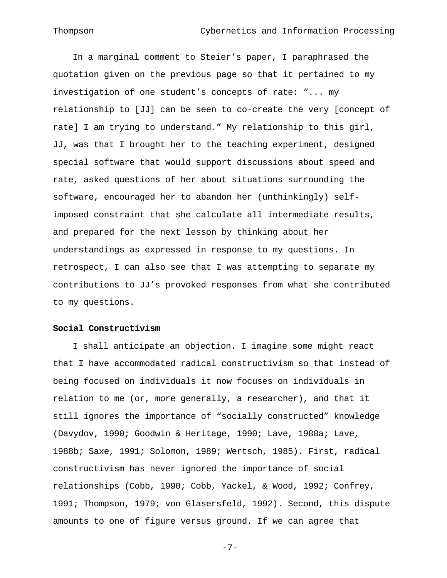In a marginal comment to Steier's paper, I paraphrased the quotation given on the previous page so that it pertained to my investigation of one student's concepts of rate: "... my relationship to [JJ] can be seen to co-create the very [concept of rate] I am trying to understand." My relationship to this girl, JJ, was that I brought her to the teaching experiment, designed special software that would support discussions about speed and rate, asked questions of her about situations surrounding the software, encouraged her to abandon her (unthinkingly) selfimposed constraint that she calculate all intermediate results, and prepared for the next lesson by thinking about her understandings as expressed in response to my questions. In retrospect, I can also see that I was attempting to separate my contributions to JJ's provoked responses from what she contributed to my questions.

#### **Social Constructivism**

I shall anticipate an objection. I imagine some might react that I have accommodated radical constructivism so that instead of being focused on individuals it now focuses on individuals in relation to me (or, more generally, a researcher), and that it still ignores the importance of "socially constructed" knowledge (Davydov, 1990; Goodwin & Heritage, 1990; Lave, 1988a; Lave, 1988b; Saxe, 1991; Solomon, 1989; Wertsch, 1985). First, radical constructivism has never ignored the importance of social relationships (Cobb, 1990; Cobb, Yackel, & Wood, 1992; Confrey, 1991; Thompson, 1979; von Glasersfeld, 1992). Second, this dispute amounts to one of figure versus ground. If we can agree that

 $-7-$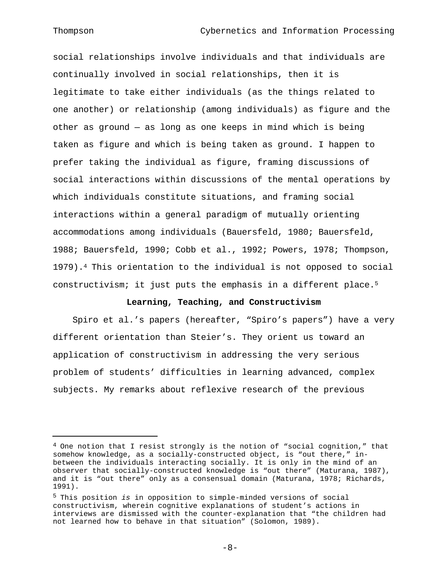### Thompson Cybernetics and Information Processing

social relationships involve individuals and that individuals are continually involved in social relationships, then it is legitimate to take either individuals (as the things related to one another) or relationship (among individuals) as figure and the other as ground — as long as one keeps in mind which is being taken as figure and which is being taken as ground. I happen to prefer taking the individual as figure, framing discussions of social interactions within discussions of the mental operations by which individuals constitute situations, and framing social interactions within a general paradigm of mutually orienting accommodations among individuals (Bauersfeld, 1980; Bauersfeld, 1988; Bauersfeld, 1990; Cobb et al., 1992; Powers, 1978; Thompson, 1979).4 This orientation to the individual is not opposed to social constructivism; it just puts the emphasis in a different place.<sup>5</sup>

# **Learning, Teaching, and Constructivism**

Spiro et al.'s papers (hereafter, "Spiro's papers") have a very different orientation than Steier's. They orient us toward an application of constructivism in addressing the very serious problem of students' difficulties in learning advanced, complex subjects. My remarks about reflexive research of the previous

 $-8-$ 

 $4$  One notion that I resist strongly is the notion of "social cognition," that somehow knowledge, as a socially-constructed object, is "out there," inbetween the individuals interacting socially. It is only in the mind of an observer that socially-constructed knowledge is "out there" (Maturana, 1987), and it is "out there" only as a consensual domain (Maturana, 1978; Richards, 1991).

<sup>5</sup> This position *is* in opposition to simple-minded versions of social constructivism, wherein cognitive explanations of student's actions in interviews are dismissed with the counter-explanation that "the children had not learned how to behave in that situation" (Solomon, 1989).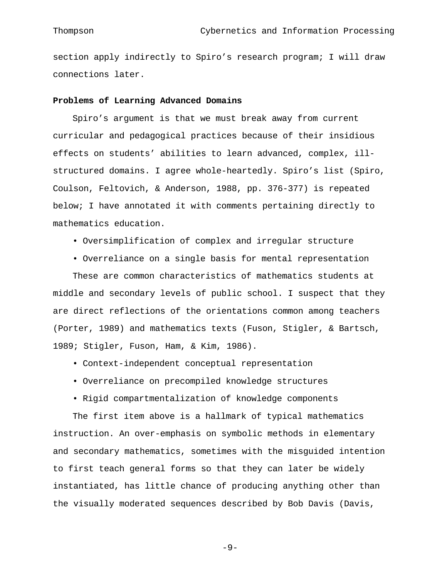section apply indirectly to Spiro's research program; I will draw connections later.

# **Problems of Learning Advanced Domains**

Spiro's argument is that we must break away from current curricular and pedagogical practices because of their insidious effects on students' abilities to learn advanced, complex, illstructured domains. I agree whole-heartedly. Spiro's list (Spiro, Coulson, Feltovich, & Anderson, 1988, pp. 376-377) is repeated below; I have annotated it with comments pertaining directly to mathematics education.

- Oversimplification of complex and irregular structure
- Overreliance on a single basis for mental representation

These are common characteristics of mathematics students at middle and secondary levels of public school. I suspect that they are direct reflections of the orientations common among teachers (Porter, 1989) and mathematics texts (Fuson, Stigler, & Bartsch, 1989; Stigler, Fuson, Ham, & Kim, 1986).

- Context-independent conceptual representation
- Overreliance on precompiled knowledge structures
- Rigid compartmentalization of knowledge components

The first item above is a hallmark of typical mathematics instruction. An over-emphasis on symbolic methods in elementary and secondary mathematics, sometimes with the misguided intention to first teach general forms so that they can later be widely instantiated, has little chance of producing anything other than the visually moderated sequences described by Bob Davis (Davis,

 $-9-$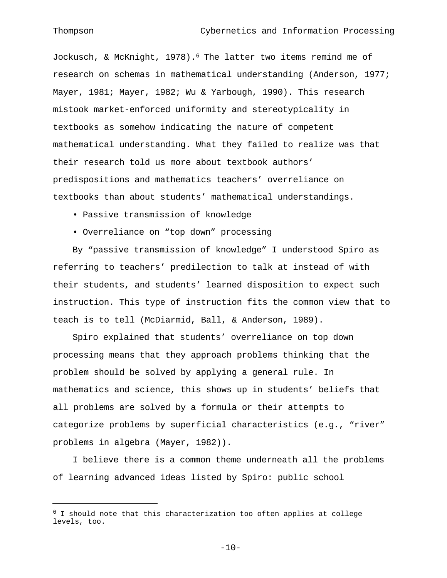#### Thompson Cybernetics and Information Processing

Jockusch, & McKnight, 1978).6 The latter two items remind me of research on schemas in mathematical understanding (Anderson, 1977; Mayer, 1981; Mayer, 1982; Wu & Yarbough, 1990). This research mistook market-enforced uniformity and stereotypicality in textbooks as somehow indicating the nature of competent mathematical understanding. What they failed to realize was that their research told us more about textbook authors' predispositions and mathematics teachers' overreliance on textbooks than about students' mathematical understandings.

- Passive transmission of knowledge
- Overreliance on "top down" processing

By "passive transmission of knowledge" I understood Spiro as referring to teachers' predilection to talk at instead of with their students, and students' learned disposition to expect such instruction. This type of instruction fits the common view that to teach is to tell (McDiarmid, Ball, & Anderson, 1989).

Spiro explained that students' overreliance on top down processing means that they approach problems thinking that the problem should be solved by applying a general rule. In mathematics and science, this shows up in students' beliefs that all problems are solved by a formula or their attempts to categorize problems by superficial characteristics (e.g., "river" problems in algebra (Mayer, 1982)).

I believe there is a common theme underneath all the problems of learning advanced ideas listed by Spiro: public school

 $6$  I should note that this characterization too often applies at college levels, too.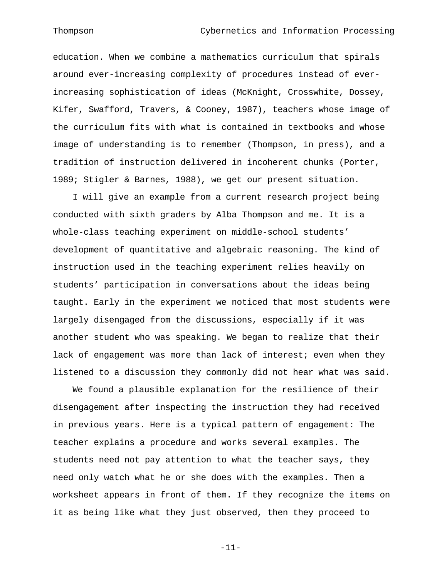#### Thompson Cybernetics and Information Processing

education. When we combine a mathematics curriculum that spirals around ever-increasing complexity of procedures instead of everincreasing sophistication of ideas (McKnight, Crosswhite, Dossey, Kifer, Swafford, Travers, & Cooney, 1987), teachers whose image of the curriculum fits with what is contained in textbooks and whose image of understanding is to remember (Thompson, in press), and a tradition of instruction delivered in incoherent chunks (Porter, 1989; Stigler & Barnes, 1988), we get our present situation.

I will give an example from a current research project being conducted with sixth graders by Alba Thompson and me. It is a whole-class teaching experiment on middle-school students' development of quantitative and algebraic reasoning. The kind of instruction used in the teaching experiment relies heavily on students' participation in conversations about the ideas being taught. Early in the experiment we noticed that most students were largely disengaged from the discussions, especially if it was another student who was speaking. We began to realize that their lack of engagement was more than lack of interest; even when they listened to a discussion they commonly did not hear what was said.

We found a plausible explanation for the resilience of their disengagement after inspecting the instruction they had received in previous years. Here is a typical pattern of engagement: The teacher explains a procedure and works several examples. The students need not pay attention to what the teacher says, they need only watch what he or she does with the examples. Then a worksheet appears in front of them. If they recognize the items on it as being like what they just observed, then they proceed to

-11-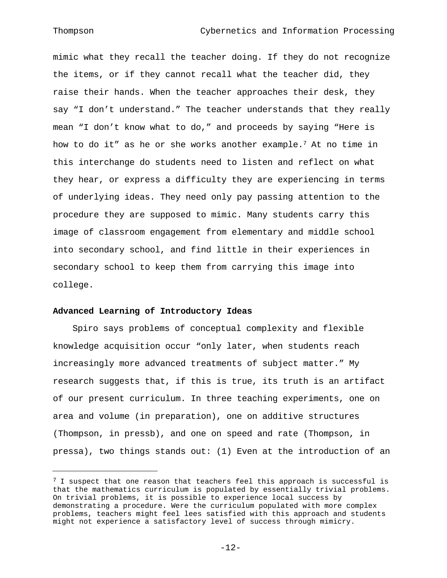mimic what they recall the teacher doing. If they do not recognize the items, or if they cannot recall what the teacher did, they raise their hands. When the teacher approaches their desk, they say "I don't understand." The teacher understands that they really mean "I don't know what to do," and proceeds by saying "Here is how to do it" as he or she works another example.7 At no time in this interchange do students need to listen and reflect on what they hear, or express a difficulty they are experiencing in terms of underlying ideas. They need only pay passing attention to the procedure they are supposed to mimic. Many students carry this image of classroom engagement from elementary and middle school into secondary school, and find little in their experiences in secondary school to keep them from carrying this image into college.

### **Advanced Learning of Introductory Ideas**

Spiro says problems of conceptual complexity and flexible knowledge acquisition occur "only later, when students reach increasingly more advanced treatments of subject matter." My research suggests that, if this is true, its truth is an artifact of our present curriculum. In three teaching experiments, one on area and volume (in preparation), one on additive structures (Thompson, in pressb), and one on speed and rate (Thompson, in pressa), two things stands out: (1) Even at the introduction of an

 $7$  I suspect that one reason that teachers feel this approach is successful is that the mathematics curriculum is populated by essentially trivial problems. On trivial problems, it is possible to experience local success by demonstrating a procedure. Were the curriculum populated with more complex problems, teachers might feel lees satisfied with this approach and students might not experience a satisfactory level of success through mimicry.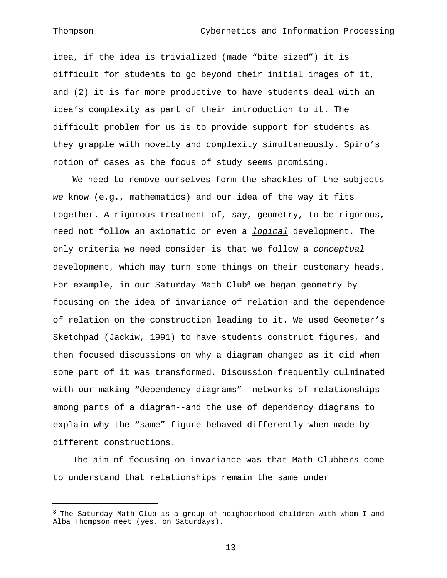idea, if the idea is trivialized (made "bite sized") it is difficult for students to go beyond their initial images of it, and (2) it is far more productive to have students deal with an idea's complexity as part of their introduction to it. The difficult problem for us is to provide support for students as they grapple with novelty and complexity simultaneously. Spiro's notion of cases as the focus of study seems promising.

We need to remove ourselves form the shackles of the subjects *we* know (e.g., mathematics) and our idea of the way it fits together. A rigorous treatment of, say, geometry, to be rigorous, need not follow an axiomatic or even a *logical* development. The only criteria we need consider is that we follow a *conceptual*  development, which may turn some things on their customary heads. For example, in our Saturday Math Club<sup>8</sup> we began geometry by focusing on the idea of invariance of relation and the dependence of relation on the construction leading to it. We used Geometer's Sketchpad (Jackiw, 1991) to have students construct figures, and then focused discussions on why a diagram changed as it did when some part of it was transformed. Discussion frequently culminated with our making "dependency diagrams"--networks of relationships among parts of a diagram--and the use of dependency diagrams to explain why the "same" figure behaved differently when made by different constructions.

The aim of focusing on invariance was that Math Clubbers come to understand that relationships remain the same under

 $-13-$ 

<sup>8</sup> The Saturday Math Club is a group of neighborhood children with whom I and Alba Thompson meet (yes, on Saturdays).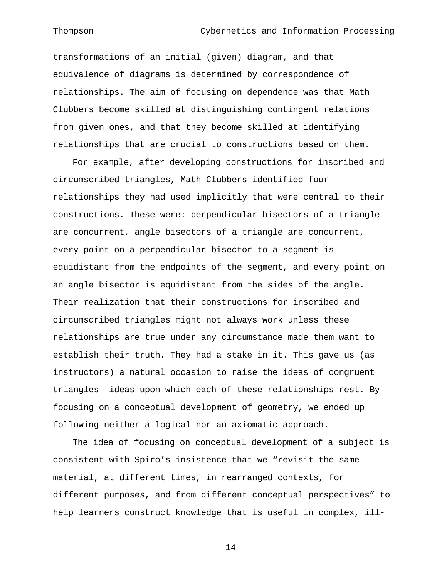transformations of an initial (given) diagram, and that equivalence of diagrams is determined by correspondence of relationships. The aim of focusing on dependence was that Math Clubbers become skilled at distinguishing contingent relations from given ones, and that they become skilled at identifying relationships that are crucial to constructions based on them.

For example, after developing constructions for inscribed and circumscribed triangles, Math Clubbers identified four relationships they had used implicitly that were central to their constructions. These were: perpendicular bisectors of a triangle are concurrent, angle bisectors of a triangle are concurrent, every point on a perpendicular bisector to a segment is equidistant from the endpoints of the segment, and every point on an angle bisector is equidistant from the sides of the angle. Their realization that their constructions for inscribed and circumscribed triangles might not always work unless these relationships are true under any circumstance made them want to establish their truth. They had a stake in it. This gave us (as instructors) a natural occasion to raise the ideas of congruent triangles--ideas upon which each of these relationships rest. By focusing on a conceptual development of geometry, we ended up following neither a logical nor an axiomatic approach.

The idea of focusing on conceptual development of a subject is consistent with Spiro's insistence that we "revisit the same material, at different times, in rearranged contexts, for different purposes, and from different conceptual perspectives" to help learners construct knowledge that is useful in complex, ill-

 $-14-$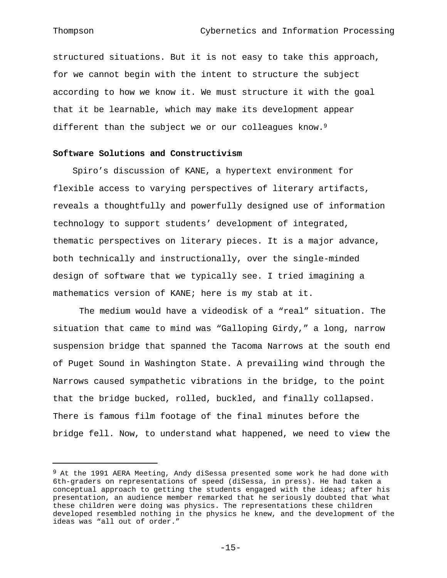i<br>L

structured situations. But it is not easy to take this approach, for we cannot begin with the intent to structure the subject according to how we know it. We must structure it with the goal that it be learnable, which may make its development appear different than the subject we or our colleagues know.<sup>9</sup>

# **Software Solutions and Constructivism**

Spiro's discussion of KANE, a hypertext environment for flexible access to varying perspectives of literary artifacts, reveals a thoughtfully and powerfully designed use of information technology to support students' development of integrated, thematic perspectives on literary pieces. It is a major advance, both technically and instructionally, over the single-minded design of software that we typically see. I tried imagining a mathematics version of KANE; here is my stab at it.

The medium would have a videodisk of a "real" situation. The situation that came to mind was "Galloping Girdy," a long, narrow suspension bridge that spanned the Tacoma Narrows at the south end of Puget Sound in Washington State. A prevailing wind through the Narrows caused sympathetic vibrations in the bridge, to the point that the bridge bucked, rolled, buckled, and finally collapsed. There is famous film footage of the final minutes before the bridge fell. Now, to understand what happened, we need to view the

<sup>&</sup>lt;sup>9</sup> At the 1991 AERA Meeting, Andy diSessa presented some work he had done with 6th-graders on representations of speed (diSessa, in press). He had taken a conceptual approach to getting the students engaged with the ideas; after his presentation, an audience member remarked that he seriously doubted that what these children were doing was physics. The representations these children developed resembled nothing in the physics he knew, and the development of the ideas was "all out of order."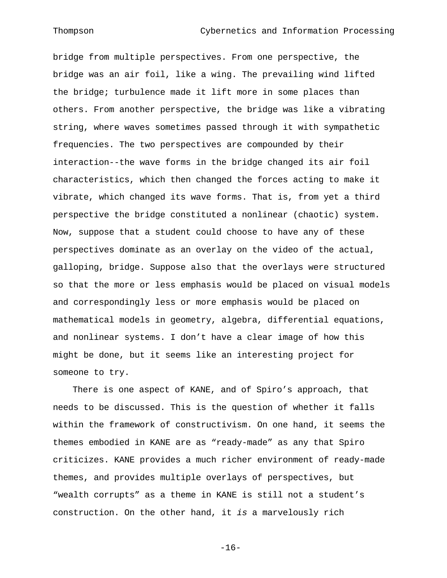bridge from multiple perspectives. From one perspective, the bridge was an air foil, like a wing. The prevailing wind lifted the bridge; turbulence made it lift more in some places than others. From another perspective, the bridge was like a vibrating string, where waves sometimes passed through it with sympathetic frequencies. The two perspectives are compounded by their interaction--the wave forms in the bridge changed its air foil characteristics, which then changed the forces acting to make it vibrate, which changed its wave forms. That is, from yet a third perspective the bridge constituted a nonlinear (chaotic) system. Now, suppose that a student could choose to have any of these perspectives dominate as an overlay on the video of the actual, galloping, bridge. Suppose also that the overlays were structured so that the more or less emphasis would be placed on visual models and correspondingly less or more emphasis would be placed on mathematical models in geometry, algebra, differential equations, and nonlinear systems. I don't have a clear image of how this might be done, but it seems like an interesting project for someone to try.

There is one aspect of KANE, and of Spiro's approach, that needs to be discussed. This is the question of whether it falls within the framework of constructivism. On one hand, it seems the themes embodied in KANE are as "ready-made" as any that Spiro criticizes. KANE provides a much richer environment of ready-made themes, and provides multiple overlays of perspectives, but "wealth corrupts" as a theme in KANE is still not a student's construction. On the other hand, it *is* a marvelously rich

 $-16-$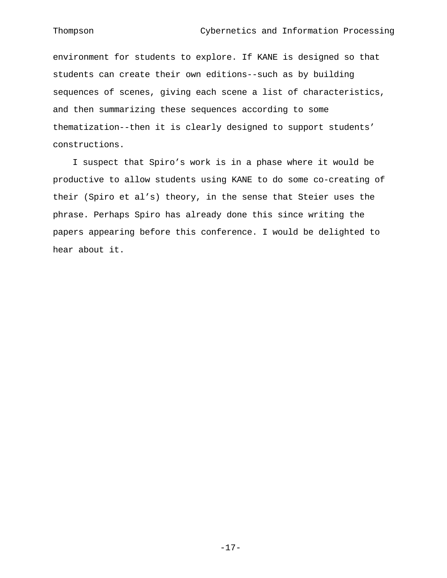environment for students to explore. If KANE is designed so that students can create their own editions--such as by building sequences of scenes, giving each scene a list of characteristics, and then summarizing these sequences according to some thematization--then it is clearly designed to support students' constructions.

I suspect that Spiro's work is in a phase where it would be productive to allow students using KANE to do some co-creating of their (Spiro et al's) theory, in the sense that Steier uses the phrase. Perhaps Spiro has already done this since writing the papers appearing before this conference. I would be delighted to hear about it.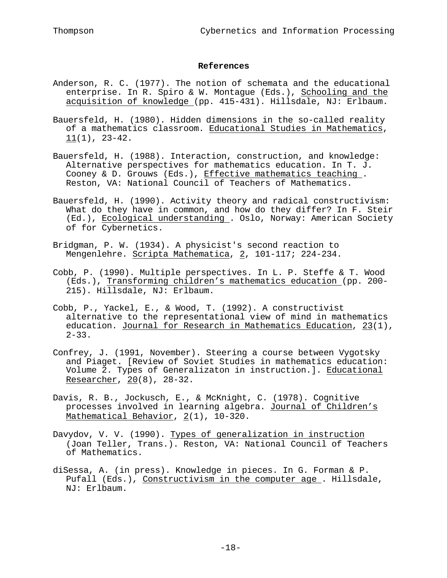# **References**

- Anderson, R. C. (1977). The notion of schemata and the educational enterprise. In R. Spiro & W. Montague (Eds.), Schooling and the acquisition of knowledge (pp. 415-431). Hillsdale, NJ: Erlbaum.
- Bauersfeld, H. (1980). Hidden dimensions in the so-called reality of a mathematics classroom. Educational Studies in Mathematics ,  $11(1)$ ,  $23-42$ .
- Bauersfeld, H. (1988). Interaction, construction, and knowledge: Alternative perspectives for mathematics education. In T. J. Cooney & D. Grouws (Eds.), Effective mathematics teaching . Reston, VA: National Council of Teachers of Mathematics.
- Bauersfeld, H. (1990). Activity theory and radical constructivism: What do they have in common, and how do they differ? In F. Steir (Ed.), Ecological understanding . Oslo, Norway: American Society of for Cybernetics.
- Bridgman, P. W. (1934). A physicist's second reaction to Mengenlehre. Scripta Mathematica, 2, 101-117; 224-234.
- Cobb, P. (1990). Multiple perspectives. In L. P. Steffe & T. Wood (Eds.), Transforming children's mathematics education (pp. 200- 215). Hillsdale, NJ: Erlbaum.
- Cobb, P., Yackel, E., & Wood, T. (1992). A constructivist alternative to the representational view of mind in mathematics education. Journal for Research in Mathematics Education, 23(1),  $2 - 33$ .
- Confrey, J. (1991, November). Steering a course between Vygotsky and Piaget. [Review of Soviet Studies in mathematics education: Volume 2. Types of Generalizaton in instruction.]. Educational Researcher, 20(8), 28-32.
- Davis, R. B., Jockusch, E., & McKnight, C. (1978). Cognitive processes involved in learning algebra. Journal of Children's Mathematical Behavior, 2(1), 10-320.
- Davydov, V. V. (1990). Types of generalization in instruction (Joan Teller, Trans.). Reston, VA: National Council of Teachers of Mathematics.
- diSessa, A. (in press). Knowledge in pieces. In G. Forman & P. Pufall (Eds.), Constructivism in the computer age . Hillsdale, NJ: Erlbaum.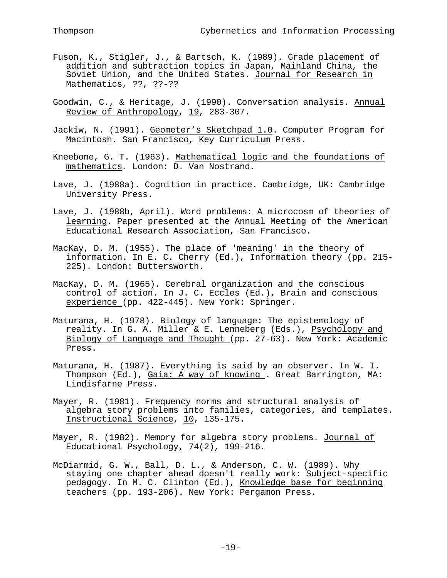- Fuson, K., Stigler, J., & Bartsch, K. (1989). Grade placement of addition and subtraction topics in Japan, Mainland China, the Soviet Union, and the United States. Journal for Research in Mathematics, ??, ??-??
- Goodwin, C., & Heritage, J. (1990). Conversation analysis. Annual Review of Anthropology, 19, 283-307.
- Jackiw, N. (1991). Geometer's Sketchpad 1.0. Computer Program for Macintosh. San Francisco, Key Curriculum Press.
- Kneebone, G. T. (1963). Mathematical logic and the foundations of mathematics . London: D. Van Nostrand.
- Lave, J. (1988a). Cognition in practice . Cambridge, UK: Cambridge University Press.
- Lave, J. (1988b, April). Word problems: A microcosm of theories of learning. Paper presented at the Annual Meeting of the American Educational Research Association, San Francisco.
- MacKay, D. M. (1955). The place of 'meaning' in the theory of information. In E. C. Cherry (Ed.), Information theory (pp. 215- 225). London: Buttersworth.
- MacKay, D. M. (1965). Cerebral organization and the conscious control of action. In J. C. Eccles (Ed.), Brain and conscious experience (pp. 422-445). New York: Springer.
- Maturana, H. (1978). Biology of language: The epistemology of reality. In G. A. Miller & E. Lenneberg (Eds.), Psychology and Biology of Language and Thought (pp. 27-63). New York: Academic Press.
- Maturana, H. (1987). Everything is said by an observer. In W. I. Thompson (Ed.), Gaia: A way of knowing . Great Barrington, MA: Lindisfarne Press.
- Mayer, R. (1981). Frequency norms and structural analysis of algebra story problems into families, categories, and templates. Instructional Science, 10, 135-175.
- Mayer, R. (1982). Memory for algebra story problems. Journal of Educational Psychology, 74(2), 199-216.
- McDiarmid, G. W., Ball, D. L., & Anderson, C. W. (1989). Why staying one chapter ahead doesn't really work: Subject-specific pedagogy. In M. C. Clinton (Ed.), Knowledge base for beginning teachers (pp. 193-206). New York: Pergamon Press.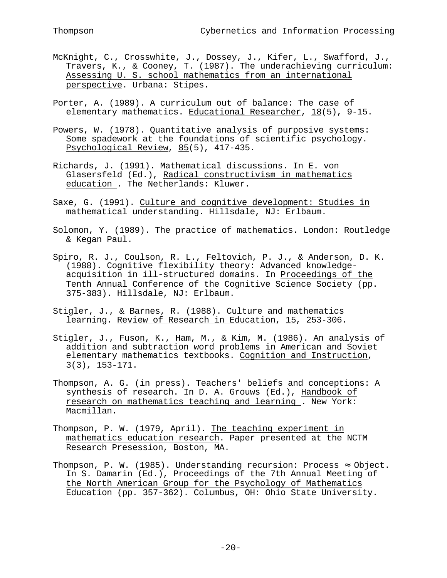- McKnight, C., Crosswhite, J., Dossey, J., Kifer, L., Swafford, J., Travers, K., & Cooney, T. (1987). The underachieving curriculum: Assessing U. S. school mathematics from an international perspective. Urbana: Stipes.
- Porter, A. (1989). A curriculum out of balance: The case of elementary mathematics. Educational Researcher, 18(5), 9-15.
- Powers, W. (1978). Quantitative analysis of purposive systems: Some spadework at the foundations of scientific psychology. Psychological Review, 85(5), 417-435.
- Richards, J. (1991). Mathematical discussions. In E. von Glasersfeld (Ed.), Radical constructivism in mathematics education . The Netherlands: Kluwer.
- Saxe, G. (1991). Culture and cognitive development: Studies in mathematical understanding . Hillsdale, NJ: Erlbaum.
- Solomon, Y. (1989). The practice of mathematics . London: Routledge & Kegan Paul.
- Spiro, R. J., Coulson, R. L., Feltovich, P. J., & Anderson, D. K. (1988). Cognitive flexibility theory: Advanced knowledgeacquisition in ill-structured domains. In Proceedings of the Tenth Annual Conference of the Cognitive Science Society (pp. 375-383). Hillsdale, NJ: Erlbaum.
- Stigler, J., & Barnes, R. (1988). Culture and mathematics learning. Review of Research in Education, 15, 253-306.
- Stigler, J., Fuson, K., Ham, M., & Kim, M. (1986). An analysis of addition and subtraction word problems in American and Soviet elementary mathematics textbooks. Cognition and Instruction , 3 (3), 153-171.
- Thompson, A. G. (in press). Teachers' beliefs and conceptions: A synthesis of research. In D. A. Grouws (Ed.), Handbook of research on mathematics teaching and learning . New York: Macmillan.
- Thompson, P. W. (1979, April). The teaching experiment in mathematics education research. Paper presented at the NCTM Research Presession, Boston, MA.
- Thompson, P. W. (1985). Understanding recursion: Process Object. In S. Damarin (Ed.), Proceedings of the 7th Annual Meeting of the North American Group for the Psychology of Mathematics Education (pp. 357-362). Columbus, OH: Ohio State University.